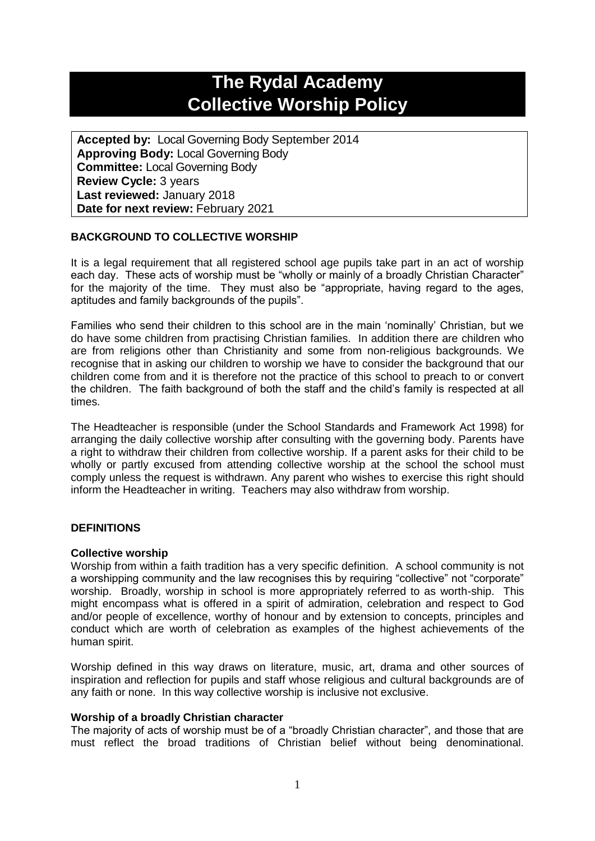# **The Rydal Academy Collective Worship Policy**

**Accepted by:** Local Governing Body September 2014 **Approving Body:** Local Governing Body **Committee:** Local Governing Body **Review Cycle:** 3 years **Last reviewed:** January 2018 **Date for next review:** February 2021

# **BACKGROUND TO COLLECTIVE WORSHIP**

It is a legal requirement that all registered school age pupils take part in an act of worship each day. These acts of worship must be "wholly or mainly of a broadly Christian Character" for the majority of the time. They must also be "appropriate, having regard to the ages, aptitudes and family backgrounds of the pupils".

Families who send their children to this school are in the main 'nominally' Christian, but we do have some children from practising Christian families. In addition there are children who are from religions other than Christianity and some from non-religious backgrounds. We recognise that in asking our children to worship we have to consider the background that our children come from and it is therefore not the practice of this school to preach to or convert the children. The faith background of both the staff and the child's family is respected at all times.

The Headteacher is responsible (under the School Standards and Framework Act 1998) for arranging the daily collective worship after consulting with the governing body. Parents have a right to withdraw their children from collective worship. If a parent asks for their child to be wholly or partly excused from attending collective worship at the school the school must comply unless the request is withdrawn. Any parent who wishes to exercise this right should inform the Headteacher in writing. Teachers may also withdraw from worship.

### **DEFINITIONS**

### **Collective worship**

Worship from within a faith tradition has a very specific definition. A school community is not a worshipping community and the law recognises this by requiring "collective" not "corporate" worship. Broadly, worship in school is more appropriately referred to as worth-ship. This might encompass what is offered in a spirit of admiration, celebration and respect to God and/or people of excellence, worthy of honour and by extension to concepts, principles and conduct which are worth of celebration as examples of the highest achievements of the human spirit.

Worship defined in this way draws on literature, music, art, drama and other sources of inspiration and reflection for pupils and staff whose religious and cultural backgrounds are of any faith or none. In this way collective worship is inclusive not exclusive.

### **Worship of a broadly Christian character**

The majority of acts of worship must be of a "broadly Christian character", and those that are must reflect the broad traditions of Christian belief without being denominational.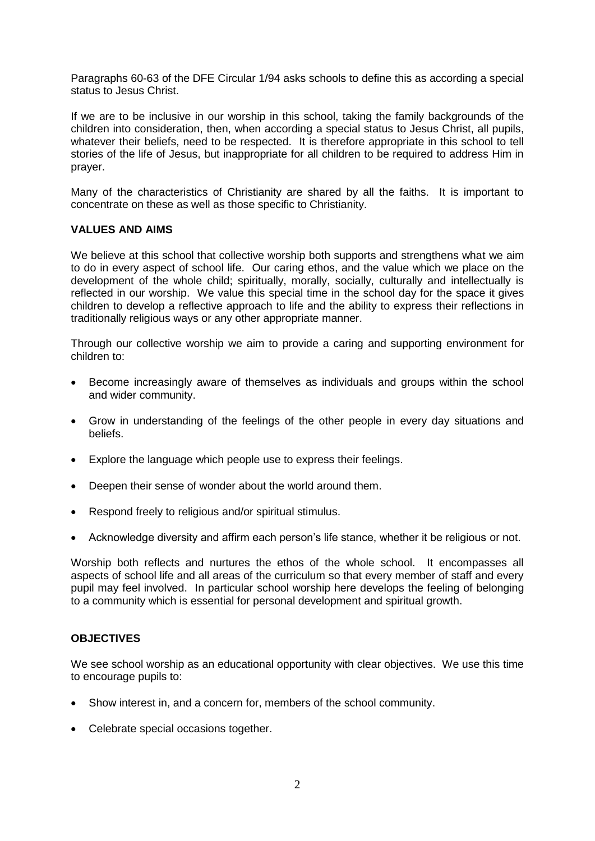Paragraphs 60-63 of the DFE Circular 1/94 asks schools to define this as according a special status to Jesus Christ.

If we are to be inclusive in our worship in this school, taking the family backgrounds of the children into consideration, then, when according a special status to Jesus Christ, all pupils, whatever their beliefs, need to be respected. It is therefore appropriate in this school to tell stories of the life of Jesus, but inappropriate for all children to be required to address Him in prayer.

Many of the characteristics of Christianity are shared by all the faiths. It is important to concentrate on these as well as those specific to Christianity.

# **VALUES AND AIMS**

We believe at this school that collective worship both supports and strengthens what we aim to do in every aspect of school life. Our caring ethos, and the value which we place on the development of the whole child; spiritually, morally, socially, culturally and intellectually is reflected in our worship. We value this special time in the school day for the space it gives children to develop a reflective approach to life and the ability to express their reflections in traditionally religious ways or any other appropriate manner.

Through our collective worship we aim to provide a caring and supporting environment for children to:

- Become increasingly aware of themselves as individuals and groups within the school and wider community.
- Grow in understanding of the feelings of the other people in every day situations and beliefs.
- Explore the language which people use to express their feelings.
- Deepen their sense of wonder about the world around them.
- Respond freely to religious and/or spiritual stimulus.
- Acknowledge diversity and affirm each person's life stance, whether it be religious or not.

Worship both reflects and nurtures the ethos of the whole school. It encompasses all aspects of school life and all areas of the curriculum so that every member of staff and every pupil may feel involved. In particular school worship here develops the feeling of belonging to a community which is essential for personal development and spiritual growth.

# **OBJECTIVES**

We see school worship as an educational opportunity with clear objectives. We use this time to encourage pupils to:

- Show interest in, and a concern for, members of the school community.
- Celebrate special occasions together.